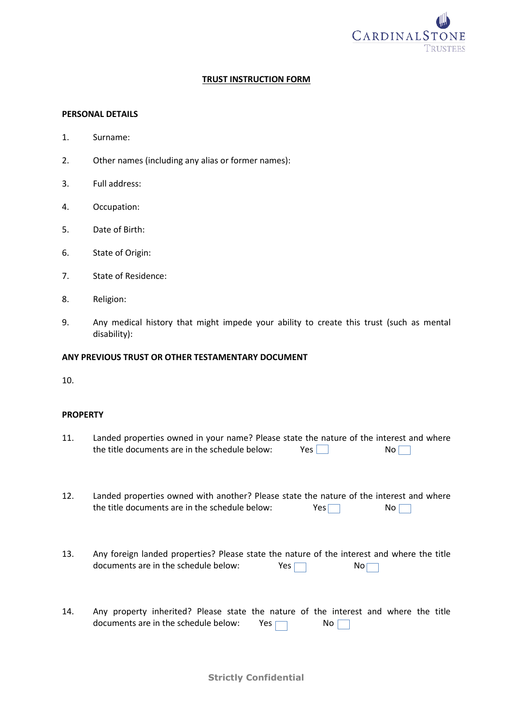

## **TRUST INSTRUCTION FORM**

#### **PERSONAL DETAILS**

- 1. Surname:
- 2. Other names (including any alias or former names):
- 3. Full address:
- 4. Occupation:
- 5. Date of Birth:
- 6. State of Origin:
- 7. State of Residence:
- 8. Religion:
- 9. Any medical history that might impede your ability to create this trust (such as mental disability):

#### **ANY PREVIOUS TRUST OR OTHER TESTAMENTARY DOCUMENT**

10.

#### **PROPERTY**

| 11. | Landed properties owned in your name? Please state the nature of the interest and where |     |                 |
|-----|-----------------------------------------------------------------------------------------|-----|-----------------|
|     | the title documents are in the schedule below:                                          | Yes | No <sub>1</sub> |

- 12. Landed properties owned with another? Please state the nature of the interest and where the title documents are in the schedule below:  $Yes$  No
- 13. Any foreign landed properties? Please state the nature of the interest and where the title documents are in the schedule below:  $Yes \Box$  No $\Box$
- 14. Any property inherited? Please state the nature of the interest and where the title documents are in the schedule below: Yes  $\Box$  No

**Strictly Confidential**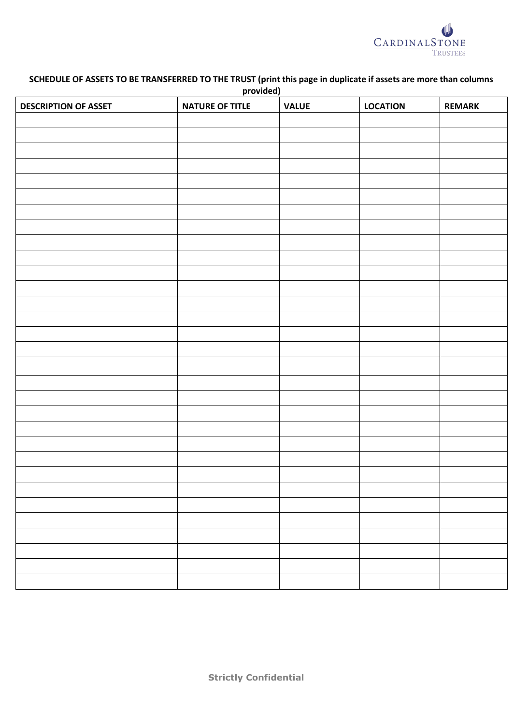

# **SCHEDULE OF ASSETS TO BE TRANSFERRED TO THE TRUST (print this page in duplicate if assets are more than columns provided)**

| <b>DESCRIPTION OF ASSET</b> | $\overline{\phantom{a}}$<br><b>NATURE OF TITLE</b> | <b>VALUE</b> | <b>LOCATION</b> | <b>REMARK</b> |
|-----------------------------|----------------------------------------------------|--------------|-----------------|---------------|
|                             |                                                    |              |                 |               |
|                             |                                                    |              |                 |               |
|                             |                                                    |              |                 |               |
|                             |                                                    |              |                 |               |
|                             |                                                    |              |                 |               |
|                             |                                                    |              |                 |               |
|                             |                                                    |              |                 |               |
|                             |                                                    |              |                 |               |
|                             |                                                    |              |                 |               |
|                             |                                                    |              |                 |               |
|                             |                                                    |              |                 |               |
|                             |                                                    |              |                 |               |
|                             |                                                    |              |                 |               |
|                             |                                                    |              |                 |               |
|                             |                                                    |              |                 |               |
|                             |                                                    |              |                 |               |
|                             |                                                    |              |                 |               |
|                             |                                                    |              |                 |               |
|                             |                                                    |              |                 |               |
|                             |                                                    |              |                 |               |
|                             |                                                    |              |                 |               |
|                             |                                                    |              |                 |               |
|                             |                                                    |              |                 |               |
|                             |                                                    |              |                 |               |
|                             |                                                    |              |                 |               |
|                             |                                                    |              |                 |               |
|                             |                                                    |              |                 |               |
|                             |                                                    |              |                 |               |
|                             |                                                    |              |                 |               |
|                             |                                                    |              |                 |               |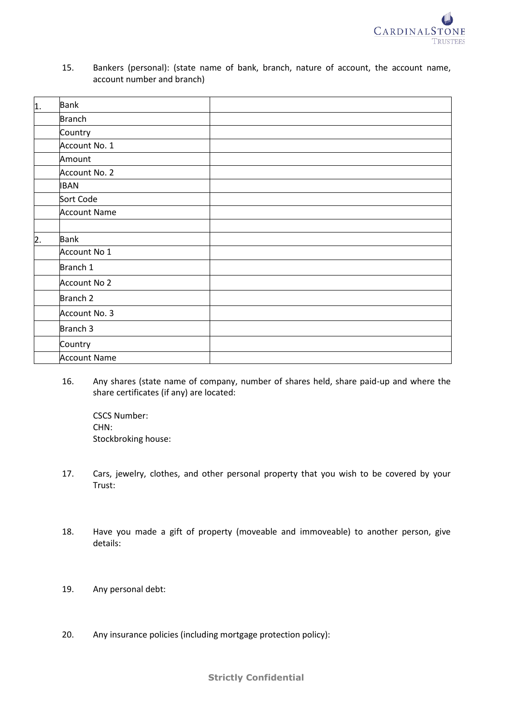

15. Bankers (personal): (state name of bank, branch, nature of account, the account name, account number and branch)

| $\overline{1}$ . | <b>Bank</b>         |  |
|------------------|---------------------|--|
|                  | <b>Branch</b>       |  |
|                  | Country             |  |
|                  | Account No. 1       |  |
|                  | Amount              |  |
|                  | Account No. 2       |  |
|                  | <b>IBAN</b>         |  |
|                  | Sort Code           |  |
|                  | <b>Account Name</b> |  |
|                  |                     |  |
| $\overline{2}$ . | <b>Bank</b>         |  |
|                  | Account No 1        |  |
|                  | Branch 1            |  |
|                  | Account No 2        |  |
|                  | Branch <sub>2</sub> |  |
|                  | Account No. 3       |  |
|                  | Branch 3            |  |
|                  | Country             |  |
|                  | <b>Account Name</b> |  |

16. Any shares (state name of company, number of shares held, share paid-up and where the share certificates (if any) are located:

CSCS Number: CHN: Stockbroking house:

- 17. Cars, jewelry, clothes, and other personal property that you wish to be covered by your Trust:
- 18. Have you made a gift of property (moveable and immoveable) to another person, give details:
- 19. Any personal debt:
- 20. Any insurance policies (including mortgage protection policy):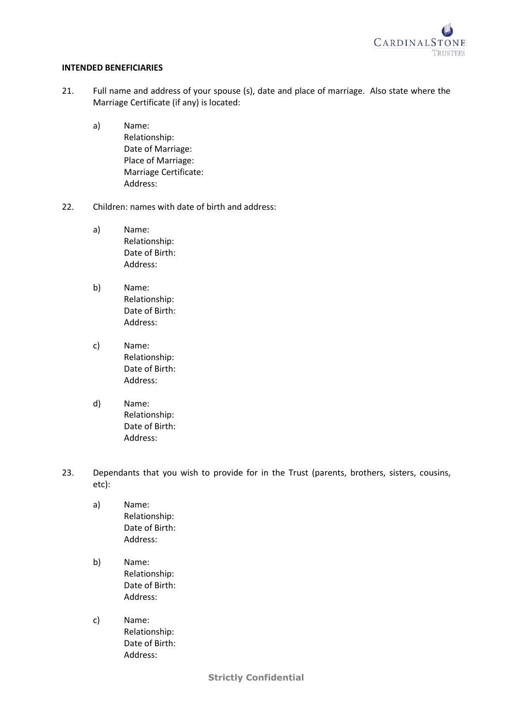

#### **INTENDED BENEFICIARIES**

- 21. Full name and address of your spouse (s), date and place of marriage. Also state where the Marriage Certificate (if any) is located:
	- a) Name: Relationship: Date of Marriage: Place of Marriage: Marriage Certificate: Address:
- 22. Children: names with date of birth and address:
	- a) Name: Relationship: Date of Birth: Address:
	- b) Name: Relationship: Date of Birth: Address:
	- c) Name: Relationship: Date of Birth: Address:
	- d) Name: Relationship: Date of Birth: Address:
- 23. Dependants that you wish to provide for in the Trust (parents, brothers, sisters, cousins, etc):
	- a) Name: Relationship: Date of Birth: Address:
	- b) Name: Relationship: Date of Birth: Address:
	- c) Name: Relationship: Date of Birth: Address:

**Strictly Confidential**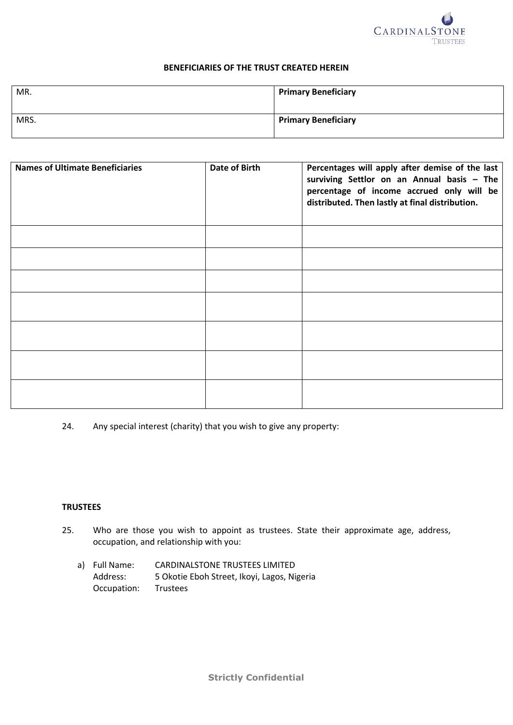

### **BENEFICIARIES OF THE TRUST CREATED HEREIN**

| MR.  | <b>Primary Beneficiary</b> |
|------|----------------------------|
| MRS. | <b>Primary Beneficiary</b> |

| <b>Names of Ultimate Beneficiaries</b> | Date of Birth | Percentages will apply after demise of the last<br>surviving Settlor on an Annual basis - The<br>percentage of income accrued only will be<br>distributed. Then lastly at final distribution. |
|----------------------------------------|---------------|-----------------------------------------------------------------------------------------------------------------------------------------------------------------------------------------------|
|                                        |               |                                                                                                                                                                                               |
|                                        |               |                                                                                                                                                                                               |
|                                        |               |                                                                                                                                                                                               |
|                                        |               |                                                                                                                                                                                               |
|                                        |               |                                                                                                                                                                                               |
|                                        |               |                                                                                                                                                                                               |
|                                        |               |                                                                                                                                                                                               |

24. Any special interest (charity) that you wish to give any property:

## **TRUSTEES**

- 25. Who are those you wish to appoint as trustees. State their approximate age, address, occupation, and relationship with you:
	- a) Full Name: CARDINALSTONE TRUSTEES LIMITED Address: 5 Okotie Eboh Street, Ikoyi, Lagos, Nigeria Occupation: Trustees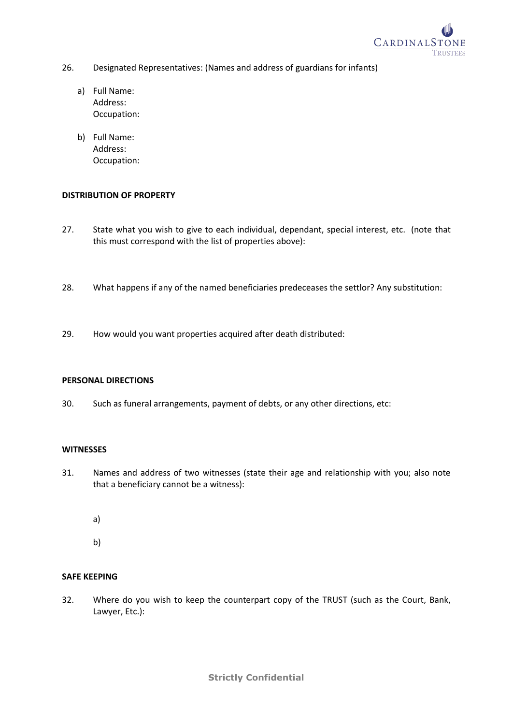

- 26. Designated Representatives: (Names and address of guardians for infants)
	- a) Full Name: Address: Occupation:
	- b) Full Name: Address: Occupation:

## **DISTRIBUTION OF PROPERTY**

- 27. State what you wish to give to each individual, dependant, special interest, etc. (note that this must correspond with the list of properties above):
- 28. What happens if any of the named beneficiaries predeceases the settlor? Any substitution:
- 29. How would you want properties acquired after death distributed:

# **PERSONAL DIRECTIONS**

30. Such as funeral arrangements, payment of debts, or any other directions, etc:

### **WITNESSES**

- 31. Names and address of two witnesses (state their age and relationship with you; also note that a beneficiary cannot be a witness):
	- a)
	- b)

## **SAFE KEEPING**

32. Where do you wish to keep the counterpart copy of the TRUST (such as the Court, Bank, Lawyer, Etc.):